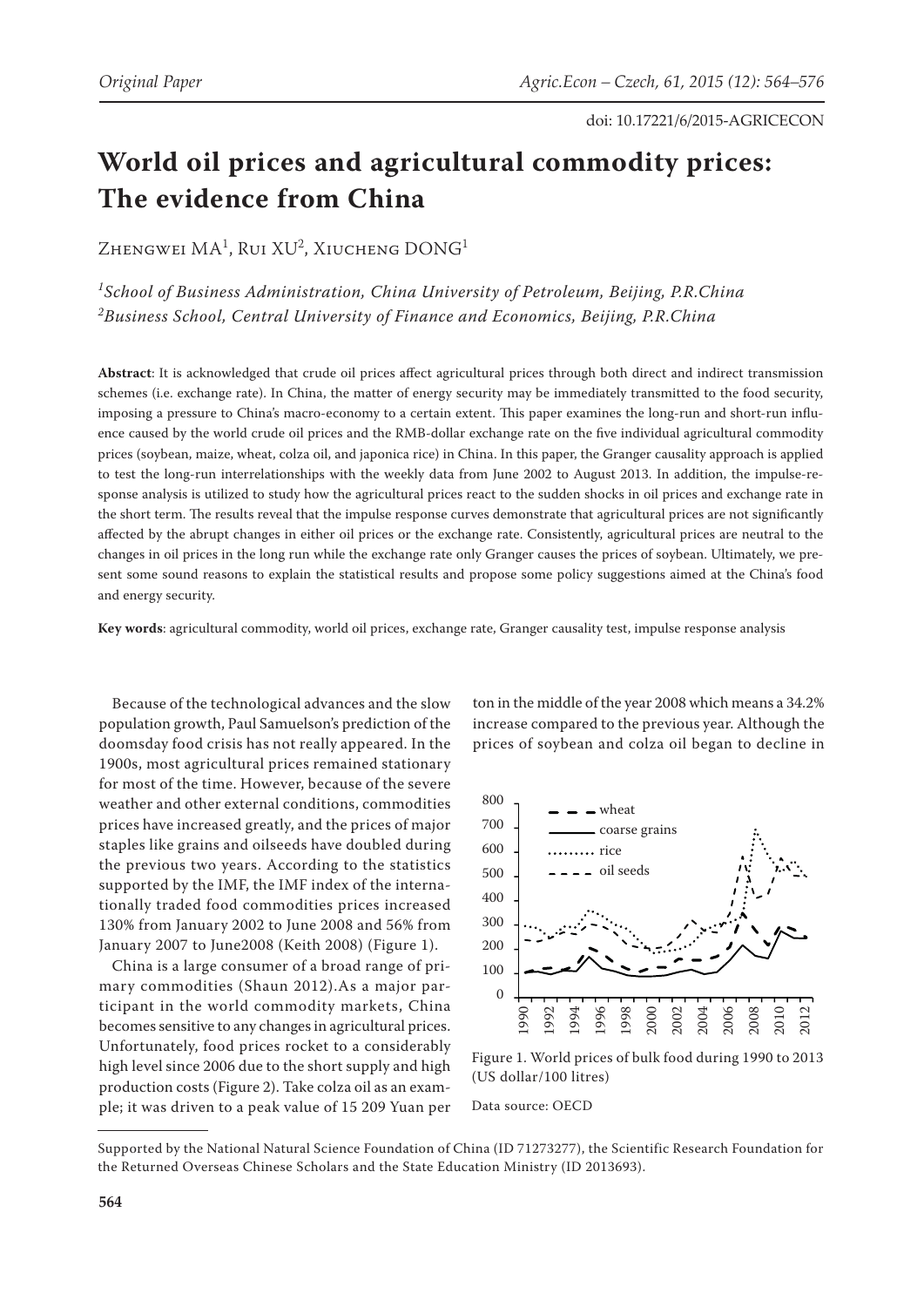# **World oil prices and agricultural commodity prices: The evidence from China**

Zhengwei MA<sup>1</sup>, Rui XU<sup>2</sup>, Xiucheng DONG<sup>1</sup>

 *1 School of Business Administration, China University of Petroleum , Beijing, P.R.China 2 Business School, Central University of Finance and Economics, Beijing, P.R.China*

Abstract: It is acknowledged that crude oil prices affect agricultural prices through both direct and indirect transmission schemes (i.e. exchange rate). In China, the matter of energy security may be immediately transmitted to the food security, imposing a pressure to China's macro-economy to a certain extent. This paper examines the long-run and short-run influence caused by the world crude oil prices and the RMB-dollar exchange rate on the five individual agricultural commodity prices (soybean, maize, wheat, colza oil, and japonica rice) in China. In this paper, the Granger causality approach is applied to test the long-run interrelationships with the weekly data from June 2002 to August 2013. In addition, the impulse-response analysis is utilized to study how the agricultural prices react to the sudden shocks in oil prices and exchange rate in the short term. The results reveal that the impulse response curves demonstrate that agricultural prices are not significantly affected by the abrupt changes in either oil prices or the exchange rate. Consistently, agricultural prices are neutral to the changes in oil prices in the long run while the exchange rate only Granger causes the prices of soybean. Ultimately, we present some sound reasons to explain the statistical results and propose some policy suggestions aimed at the China's food and energy security.

**Key words**: agricultural commodity, world oil prices, exchange rate, Granger causality test, impulse response analysis

Because of the technological advances and the slow population growth, Paul Samuelson's prediction of the doomsday food crisis has not really appeared. In the 1900s, most agricultural prices remained stationary for most of the time. However, because of the severe weather and other external conditions, commodities prices have increased greatly, and the prices of major staples like grains and oilseeds have doubled during the previous two years. According to the statistics supported by the IMF, the IMF index of the internationally traded food commodities prices increased 130% from January 2002 to June 2008 and 56% from January 2007 to June2008 (Keith 2008) (Figure 1).

China is a large consumer of a broad range of primary commodities ( Shaun 2012).As a major participant in the world commodity markets, China becomes sensitive to any changes in agricultural prices. Unfortunately, food prices rocket to a considerably high level since 2006 due to the short supply and high production costs (Figure 2). Take colza oil as an example; it was driven to a peak value of 15 209 Yuan per

ton in the middle of the year 2008 which means a 34.2% increase compared to the previous year. Although the prices of soybean and colza oil began to decline in



Figure 1. World prices of bulk food during 1990 to 2013 (US dollar/100 litres)

Data source: OECD

Supported by the National Natural Science Foundation of China (ID 71273277), the Scientific Research Foundation for the Returned Overseas Chinese Scholars and the State Education Ministry (ID 2013693).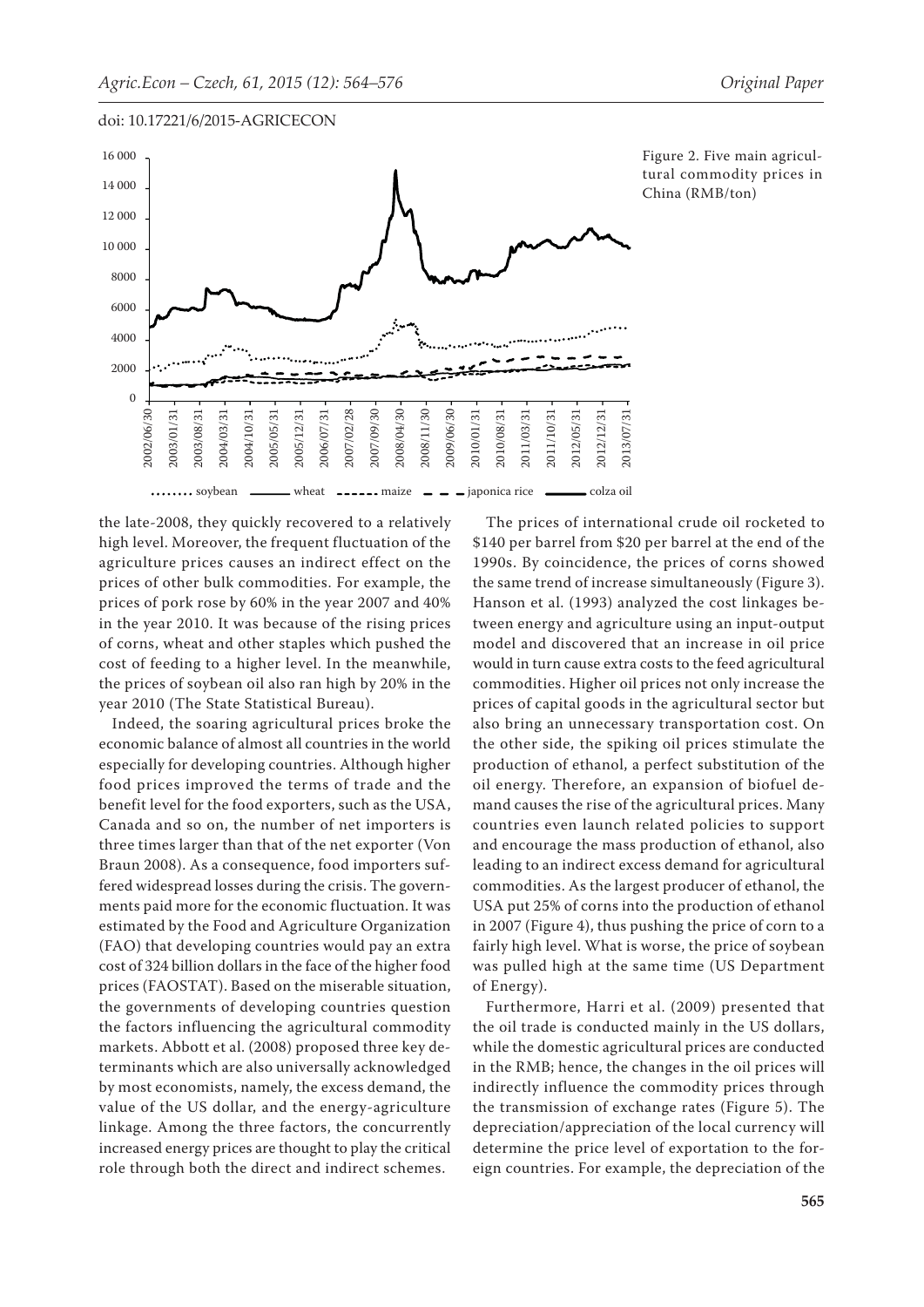



Figure 2. Five main agricultural commodity prices in China (RMB/ton)

the late-2008, they quickly recovered to a relatively high level. Moreover, the frequent fluctuation of the agriculture prices causes an indirect effect on the prices of other bulk commodities. For example, the prices of pork rose by 60% in the year 2007 and 40% in the year 2010. It was because of the rising prices of corns, wheat and other staples which pushed the cost of feeding to a higher level. In the meanwhile, the prices of soybean oil also ran high by 20% in the year 2010 (The State Statistical Bureau).

Indeed, the soaring agricultural prices broke the economic balance of almost all countries in the world especially for developing countries. Although higher food prices improved the terms of trade and the benefit level for the food exporters, such as the USA, Canada and so on, the number of net importers is three times larger than that of the net exporter (Von Braun 2008). As a consequence, food importers suffered widespread losses during the crisis. The governments paid more for the economic fluctuation. It was estimated by the Food and Agriculture Organization (FAO) that developing countries would pay an extra cost of 324 billion dollars in the face of the higher food prices (FAOSTAT). Based on the miserable situation, the governments of developing countries question the factors influencing the agricultural commodity markets. Abbott et al. (2008) proposed three key determinants which are also universally acknowledged by most economists, namely, the excess demand, the value of the US dollar, and the energy-agriculture linkage. Among the three factors, the concurrently increased energy prices are thought to play the critical role through both the direct and indirect schemes.

The prices of international crude oil rocketed to \$140 per barrel from \$20 per barrel at the end of the 1990s. By coincidence, the prices of corns showed the same trend of increase simultaneously (Figure 3). Hanson et al. (1993) analyzed the cost linkages between energy and agriculture using an input-output model and discovered that an increase in oil price would in turn cause extra costs to the feed agricultural commodities. Higher oil prices not only increase the prices of capital goods in the agricultural sector but also bring an unnecessary transportation cost. On the other side, the spiking oil prices stimulate the production of ethanol, a perfect substitution of the oil energy. Therefore, an expansion of biofuel demand causes the rise of the agricultural prices. Many countries even launch related policies to support and encourage the mass production of ethanol, also leading to an indirect excess demand for agricultural commodities. As the largest producer of ethanol, the USA put 25% of corns into the production of ethanol in 2007 (Figure 4), thus pushing the price of corn to a fairly high level. What is worse, the price of soybean was pulled high at the same time (US Department of Energy).

Furthermore, Harri et al. (2009) presented that the oil trade is conducted mainly in the US dollars, while the domestic agricultural prices are conducted in the RMB; hence, the changes in the oil prices will indirectly influence the commodity prices through the transmission of exchange rates (Figure 5). The depreciation/appreciation of the local currency will determine the price level of exportation to the foreign countries. For example, the depreciation of the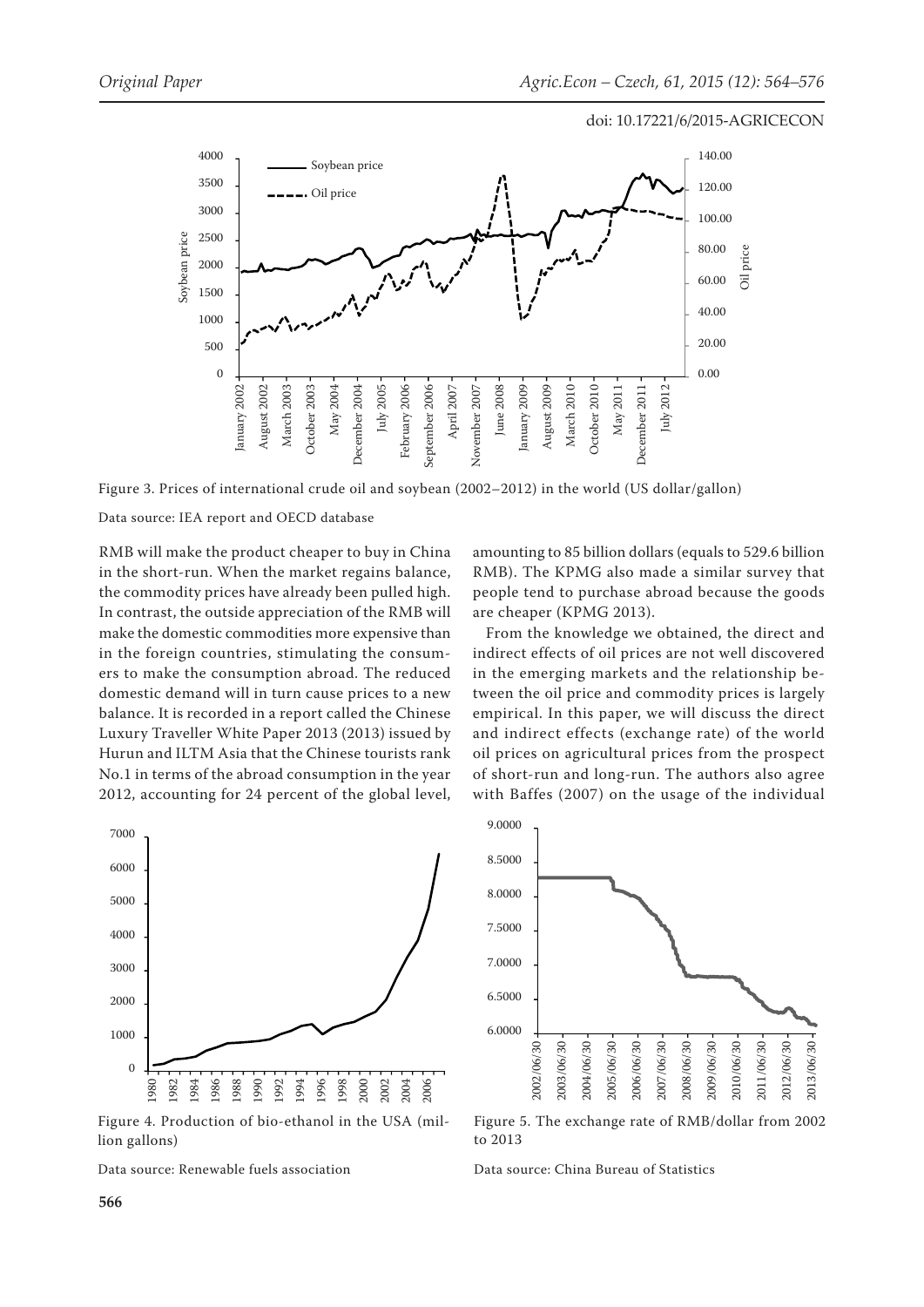

Figure 3. Prices of international crude oil and soybean (2002–2012) in the world (US dollar/gallon)

Data source: IEA report and OECD database

RMB will make the product cheaper to buy in China in the short-run. When the market regains balance, the commodity prices have already been pulled high. In contrast, the outside appreciation of the RMB will make the domestic commodities more expensive than in the foreign countries, stimulating the consumers to make the consumption abroad. The reduced domestic demand will in turn cause prices to a new balance. It is recorded in a report called the Chinese Luxury Traveller White Paper 2013 (2013) issued by Hurun and ILTM Asia that the Chinese tourists rank No.1 in terms of the abroad consumption in the year 2012, accounting for 24 percent of the global level,

 $\theta$ 1000 2000 3000 4000 5000 6000 7000 1980 1982 1984 1986 1988 1990 1992 1994 1996 1998 2000 2002 2004 2006

Figure 4. Production of bio-ethanol in the USA (million gallons)

Data source: Renewable fuels association

amounting to 85 billion dollars (equals to 529.6 billion RMB). The KPMG also made a similar survey that people tend to purchase abroad because the goods are cheaper (KPMG 2013).

From the knowledge we obtained, the direct and indirect effects of oil prices are not well discovered in the emerging markets and the relationship between the oil price and commodity prices is largely empirical. In this paper, we will discuss the direct and indirect effects (exchange rate) of the world oil prices on agricultural prices from the prospect of short-run and long-run. The authors also agree with Baffes (2007) on the usage of the individual



Figure 5. The exchange rate of RMB/dollar from 2002 to 2013

Data source: China Bureau of Statistics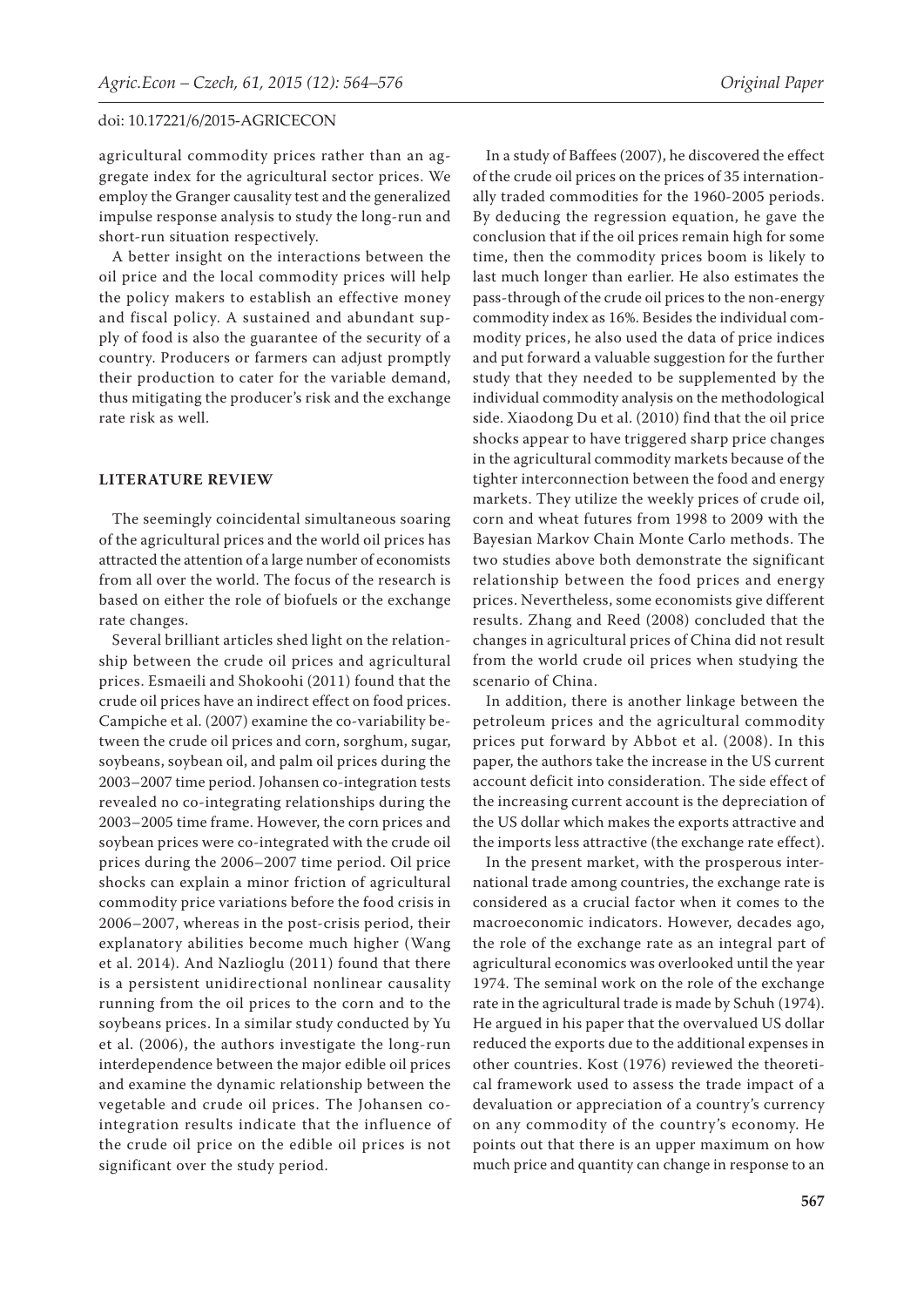agricultural commodity prices rather than an aggregate index for the agricultural sector prices. We employ the Granger causality test and the generalized impulse response analysis to study the long-run and short-run situation respectively.

A better insight on the interactions between the oil price and the local commodity prices will help the policy makers to establish an effective money and fiscal policy. A sustained and abundant supply of food is also the guarantee of the security of a country. Producers or farmers can adjust promptly their production to cater for the variable demand, thus mitigating the producer's risk and the exchange rate risk as well.

#### **LITERATURE REVIEW**

The seemingly coincidental simultaneous soaring of the agricultural prices and the world oil prices has attracted the attention of a large number of economists from all over the world. The focus of the research is based on either the role of biofuels or the exchange rate changes.

Several brilliant articles shed light on the relationship between the crude oil prices and agricultural prices. Esmaeili and Shokoohi (2011) found that the crude oil prices have an indirect effect on food prices. Campiche et al. (2007) examine the co-variability between the crude oil prices and corn, sorghum, sugar, soybeans, soybean oil, and palm oil prices during the 2003–2007 time period. Johansen co-integration tests revealed no co-integrating relationships during the 2003–2005 time frame. However, the corn prices and soybean prices were co-integrated with the crude oil prices during the 2006–2007 time period. Oil price shocks can explain a minor friction of agricultural commodity price variations before the food crisis in 2006–2007, whereas in the post-crisis period, their explanatory abilities become much higher (Wang et al. 2014). And Nazlioglu (2011) found that there is a persistent unidirectional nonlinear causality running from the oil prices to the corn and to the soybeans prices. In a similar study conducted by Yu et al. (2006), the authors investigate the long-run interdependence between the major edible oil prices and examine the dynamic relationship between the vegetable and crude oil prices. The Johansen cointegration results indicate that the influence of the crude oil price on the edible oil prices is not significant over the study period.

In a study of Baffees (2007), he discovered the effect of the crude oil prices on the prices of 35 internationally traded commodities for the 1960-2005 periods. By deducing the regression equation, he gave the conclusion that if the oil prices remain high for some time, then the commodity prices boom is likely to last much longer than earlier. He also estimates the pass-through of the crude oil prices to the non-energy commodity index as 16%. Besides the individual commodity prices, he also used the data of price indices and put forward a valuable suggestion for the further study that they needed to be supplemented by the individual commodity analysis on the methodological side. Xiaodong Du et al. (2010) find that the oil price shocks appear to have triggered sharp price changes in the agricultural commodity markets because of the tighter interconnection between the food and energy markets. They utilize the weekly prices of crude oil, corn and wheat futures from 1998 to 2009 with the Bayesian Markov Chain Monte Carlo methods. The two studies above both demonstrate the significant relationship between the food prices and energy prices. Nevertheless, some economists give different results. Zhang and Reed (2008) concluded that the changes in agricultural prices of China did not result from the world crude oil prices when studying the scenario of China.

In addition, there is another linkage between the petroleum prices and the agricultural commodity prices put forward by Abbot et al. (2008). In this paper, the authors take the increase in the US current account deficit into consideration. The side effect of the increasing current account is the depreciation of the US dollar which makes the exports attractive and the imports less attractive (the exchange rate effect).

In the present market, with the prosperous international trade among countries, the exchange rate is considered as a crucial factor when it comes to the macroeconomic indicators. However, decades ago, the role of the exchange rate as an integral part of agricultural economics was overlooked until the year 1974. The seminal work on the role of the exchange rate in the agricultural trade is made by Schuh (1974). He argued in his paper that the overvalued US dollar reduced the exports due to the additional expenses in other countries. Kost (1976) reviewed the theoretical framework used to assess the trade impact of a devaluation or appreciation of a country's currency on any commodity of the country's economy. He points out that there is an upper maximum on how much price and quantity can change in response to an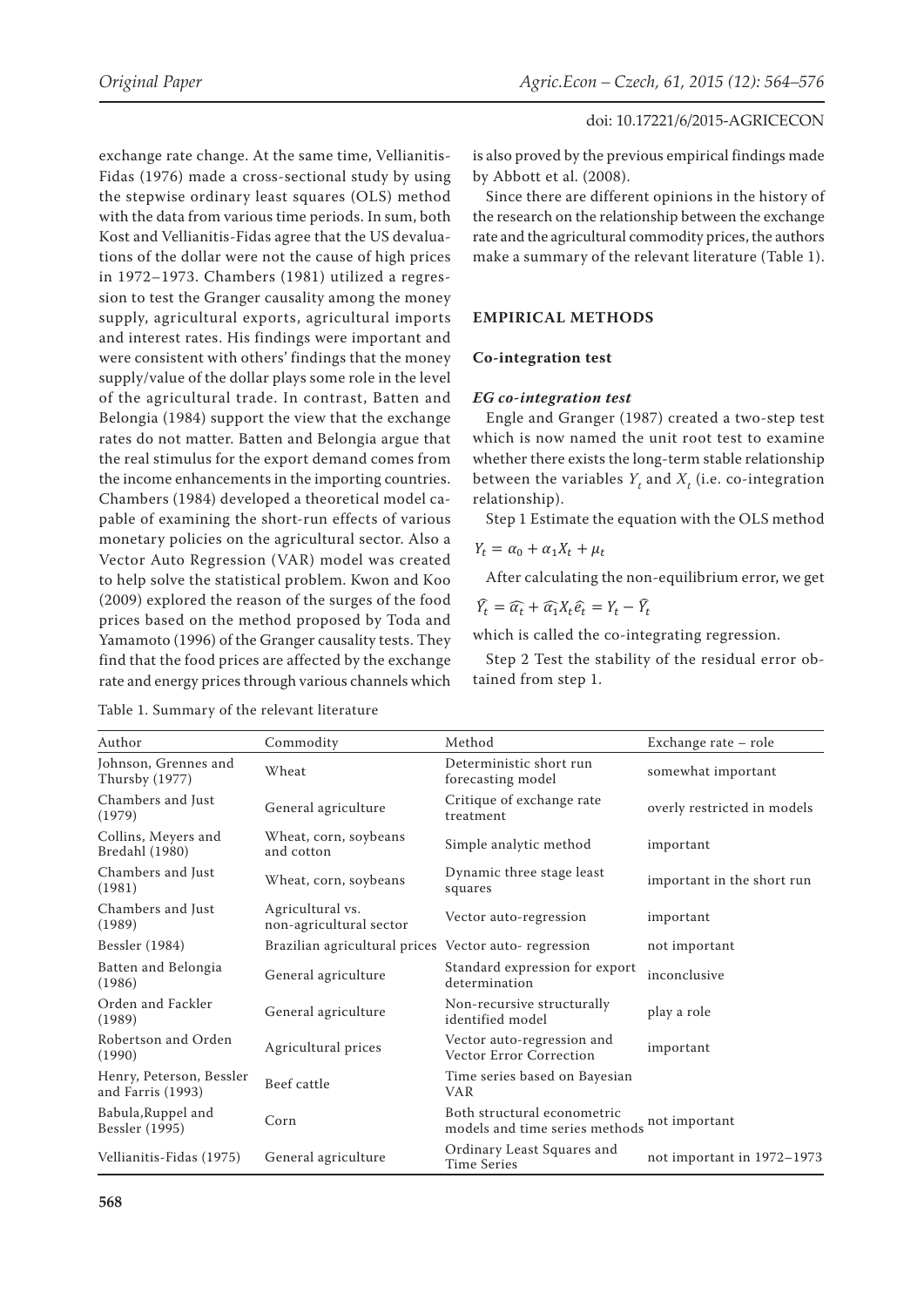exchange rate change. At the same time, Vellianitis-Fidas (1976) made a cross-sectional study by using the stepwise ordinary least squares (OLS) method with the data from various time periods. In sum, both Kost and Vellianitis-Fidas agree that the US devaluations of the dollar were not the cause of high prices in 1972–1973. Chambers (1981) utilized a regression to test the Granger causality among the money supply, agricultural exports, agricultural imports and interest rates. His findings were important and were consistent with others' findings that the money supply/value of the dollar plays some role in the level of the agricultural trade. In contrast, Batten and Belongia (1984) support the view that the exchange rates do not matter. Batten and Belongia argue that the real stimulus for the export demand comes from the income enhancements in the importing countries. Chambers (1984) developed a theoretical model capable of examining the short-run effects of various monetary policies on the agricultural sector. Also a Vector Auto Regression (VAR) model was created to help solve the statistical problem. Kwon and Koo (2009) explored the reason of the surges of the food prices based on the method proposed by Toda and Yamamoto (1996) of the Granger causality tests. They find that the food prices are affected by the exchange rate and energy prices through various channels which

is also proved by the previous empirical findings made by Abbott et al. (2008).

Since there are different opinions in the history of the research on the relationship between the exchange rate and the agricultural commodity prices, the authors make a summary of the relevant literature (Table 1).

## **EMPIRICAL METHODS**

#### **Co-integration test**

## *EG co-integration test*

 Engle and Granger (1987) created a two-step test which is now named the unit root test to examine whether there exists the long-term stable relationship between the variables  $Y_t$  and  $X_t$  (i.e. co-integration relationship).

Step 1 Estimate the equation with the OLS method

$$
Y_t = \alpha_0 + \alpha_1 X_t + \mu_t
$$

After calculating the non-equilibrium error, we get

$$
\widehat{Y}_t = \widehat{\alpha_t} + \widehat{\alpha_1} X_t \widehat{e_t} = Y_t - \widehat{Y}_t
$$

which is called the co-integrating regression.

Step 2 Test the stability of the residual error obtained from step 1.

| Author                                        | Commodity                                            | Method                                                        | Exchange rate - role        |
|-----------------------------------------------|------------------------------------------------------|---------------------------------------------------------------|-----------------------------|
| Johnson, Grennes and<br>Thursby (1977)        | Wheat                                                | Deterministic short run<br>forecasting model                  | somewhat important          |
| Chambers and Just<br>(1979)                   | General agriculture                                  | Critique of exchange rate<br>treatment                        | overly restricted in models |
| Collins, Meyers and<br>Bredahl (1980)         | Wheat, corn, soybeans<br>and cotton                  | Simple analytic method                                        | important                   |
| Chambers and Just<br>(1981)                   | Wheat, corn, soybeans                                | Dynamic three stage least<br>squares                          | important in the short run  |
| Chambers and Just<br>(1989)                   | Agricultural vs.<br>non-agricultural sector          | Vector auto-regression                                        | important                   |
| Bessler (1984)                                | Brazilian agricultural prices Vector auto-regression |                                                               | not important               |
| Batten and Belongia<br>(1986)                 | General agriculture                                  | Standard expression for export<br>determination               | inconclusive                |
| Orden and Fackler<br>(1989)                   | General agriculture                                  | Non-recursive structurally<br>identified model                | play a role                 |
| Robertson and Orden<br>(1990)                 | Agricultural prices                                  | Vector auto-regression and<br><b>Vector Error Correction</b>  | important                   |
| Henry, Peterson, Bessler<br>and Farris (1993) | Beef cattle                                          | Time series based on Bayesian<br><b>VAR</b>                   |                             |
| Babula, Ruppel and<br>Bessler (1995)          | Corn                                                 | Both structural econometric<br>models and time series methods | not important               |
| Vellianitis-Fidas (1975)                      | General agriculture                                  | Ordinary Least Squares and<br><b>Time Series</b>              | not important in 1972-1973  |

Table 1. Summary of the relevant literature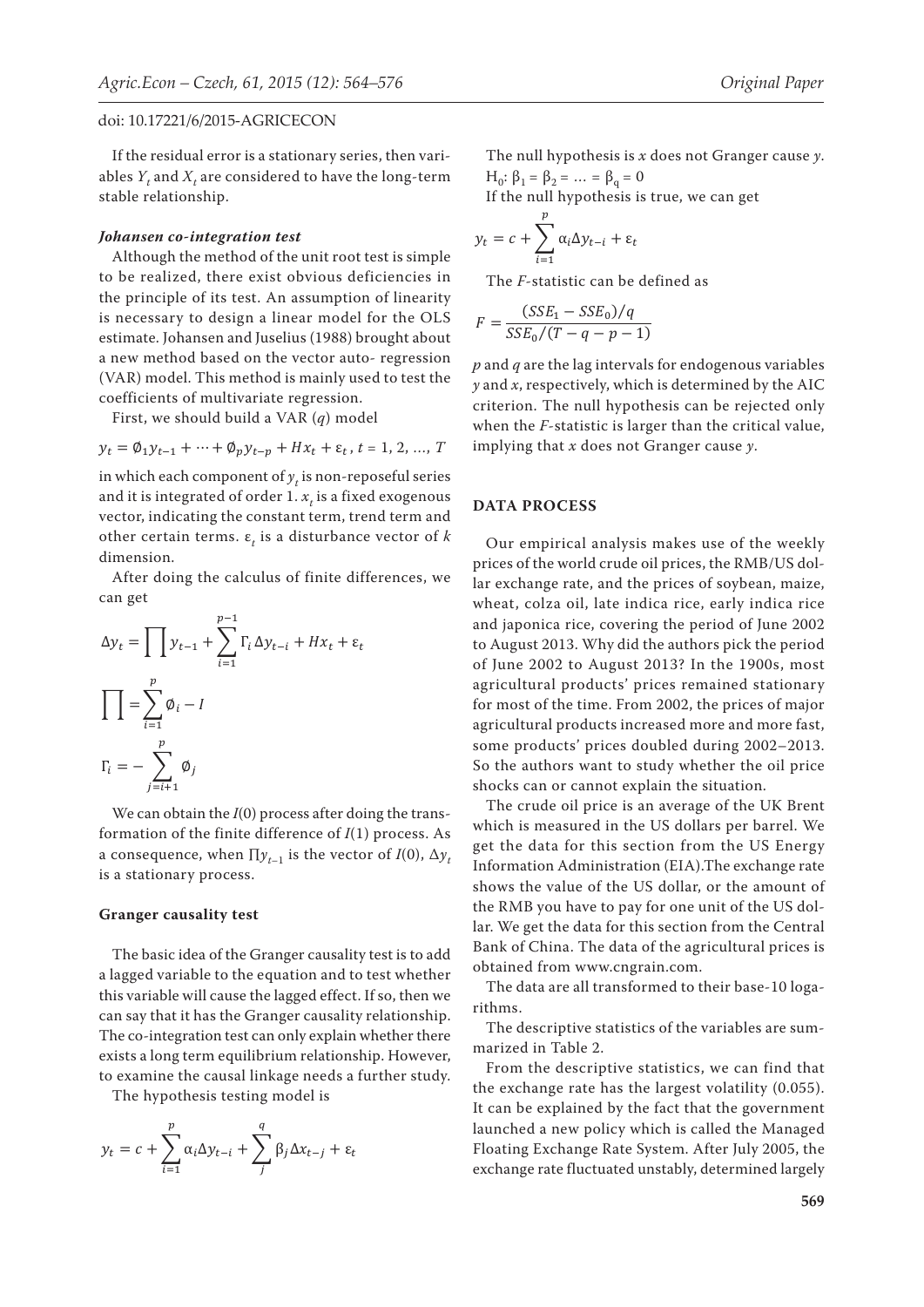If the residual error is a stationary series, then variables  $Y_t$  and  $X_t$  are considered to have the long-term stable relationship.

#### *Johansen co-integration test*

Although the method of the unit root test is simple to be realized, there exist obvious deficiencies in the principle of its test. An assumption of linearity is necessary to design a linear model for the OLS estimate. Johansen and Juselius (1988) brought about a new method based on the vector auto- regression (VAR) model. This method is mainly used to test the coefficients of multivariate regression.

First, we should build a VAR (*q*) model

$$
y_t = \emptyset_1 y_{t-1} + \dots + \emptyset_p y_{t-p} + Hx_t + \varepsilon_t, t = 1, 2, ..., T
$$

in which each component of  $y_{_t}$  is non-reposeful series and it is integrated of order  $1$ .  $x_{\scriptscriptstyle t}$  is a fixed exogenous vector, indicating the constant term, trend term and other certain terms.  $\varepsilon_{_t}$  is a disturbance vector of  $k$ dimension.

After doing the calculus of finite differences, we can get

$$
\Delta y_t = \prod y_{t-1} + \sum_{i=1}^{p-1} \Gamma_i \Delta y_{t-i} + Hx_t + \varepsilon_t
$$

$$
\prod_{i=1}^{p} = \sum_{i=1}^{p} \phi_i - I
$$

$$
\Gamma_i = -\sum_{j=i+1}^{p} \phi_j
$$

We can obtain the  $I(0)$  process after doing the transformation of the finite difference of *I*(1) process. As a consequence, when  $\prod y_{t-1}$  is the vector of *I*(0),  $\Delta y_t$ is a stationary process.

#### **Granger causality test**

The basic idea of the Granger causality test is to add a lagged variable to the equation and to test whether this variable will cause the lagged effect. If so, then we can say that it has the Granger causality relationship. The co-integration test can only explain whether there exists a long term equilibrium relationship. However, to examine the causal linkage needs a further study.

The hypothesis testing model is

$$
y_t = c + \sum_{i=1}^p \alpha_i \Delta y_{t-i} + \sum_j^q \beta_j \Delta x_{t-j} + \varepsilon_t
$$

The null hypothesis is *x* does not Granger cause *y*.  $H_0$ : β<sub>1</sub> = β<sub>2</sub> = ... = β<sub>q</sub> = 0

If the null hypothesis is true, we can get

$$
y_t = c + \sum_{i=1}^p \alpha_i \Delta y_{t-i} + \varepsilon_t
$$

The *F*-statistic can be defined as

$$
F = \frac{(SSE_1 - SSE_0)/q}{SSE_0/(T - q - p - 1)}
$$

*p* and *q* are the lag intervals for endogenous variables *y* and *x*, respectively, which is determined by the AIC criterion. The null hypothesis can be rejected only when the *F*-statistic is larger than the critical value, implying that *x* does not Granger cause *y*.

### **DATA PROCESS**

Our empirical analysis makes use of the weekly prices of the world crude oil prices, the RMB/US dollar exchange rate, and the prices of soybean, maize, wheat, colza oil, late indica rice, early indica rice and japonica rice, covering the period of June 2002 to August 2013. Why did the authors pick the period of June 2002 to August 2013? In the 1900s, most agricultural products' prices remained stationary for most of the time. From 2002, the prices of major agricultural products increased more and more fast, some products' prices doubled during 2002–2013. So the authors want to study whether the oil price shocks can or cannot explain the situation.

The crude oil price is an average of the UK Brent which is measured in the US dollars per barrel. We get the data for this section from the US Energy Information Administration (EIA).The exchange rate shows the value of the US dollar, or the amount of the RMB you have to pay for one unit of the US dollar. We get the data for this section from the Central Bank of China. The data of the agricultural prices is obtained from www.cngrain.com.

The data are all transformed to their base-10 logarithms.

The descriptive statistics of the variables are summarized in Table 2.

From the descriptive statistics, we can find that the exchange rate has the largest volatility (0.055). It can be explained by the fact that the government launched a new policy which is called the Managed Floating Exchange Rate System. After July 2005, the exchange rate fluctuated unstably, determined largely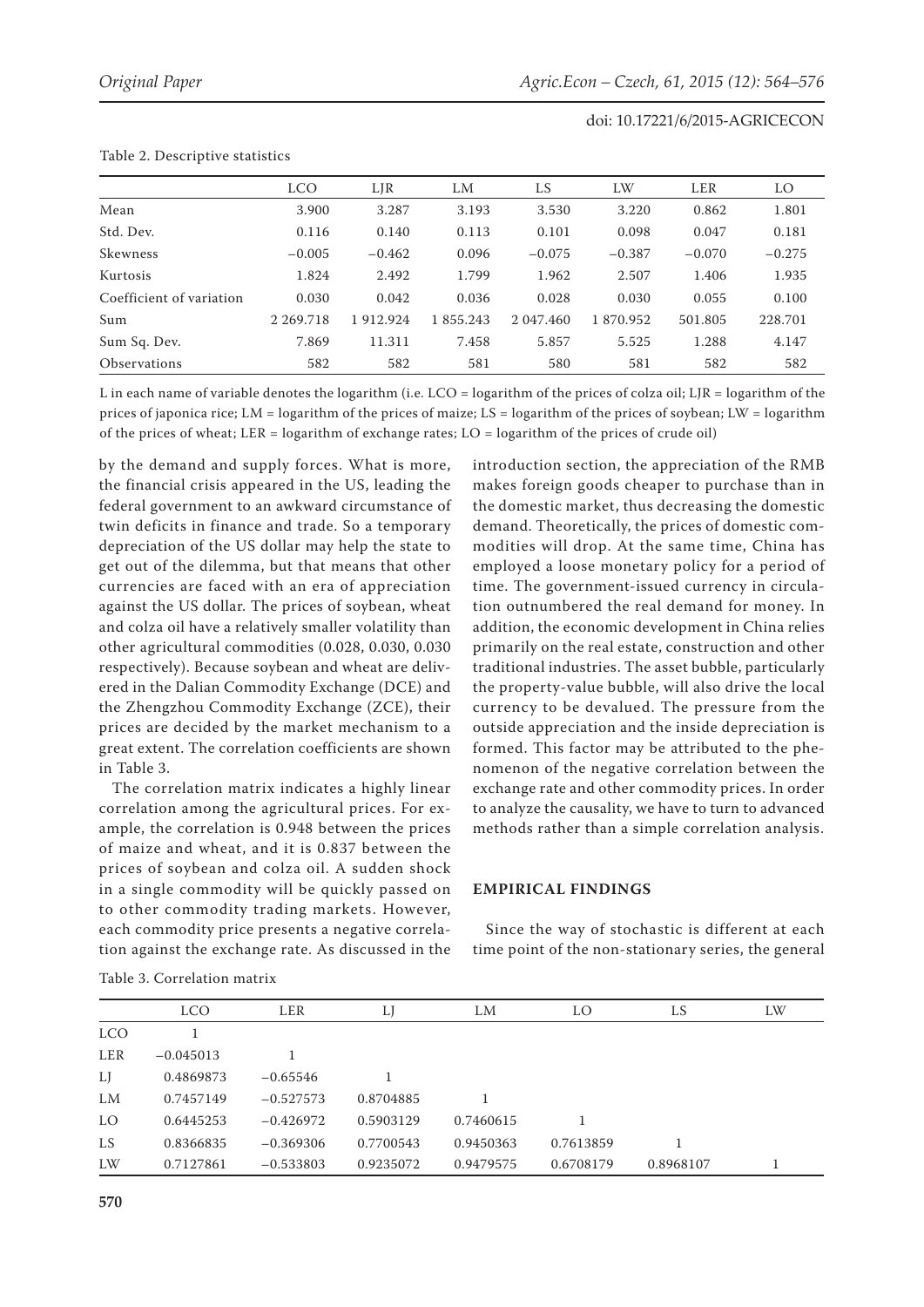| rabic 2: <i>D</i> cocriptive beatholics |            |           |          |           |          |          |          |  |
|-----------------------------------------|------------|-----------|----------|-----------|----------|----------|----------|--|
|                                         | <b>LCO</b> | LJR       | LM       | LS        | LW       | LER      | LO       |  |
| Mean                                    | 3.900      | 3.287     | 3.193    | 3.530     | 3.220    | 0.862    | 1.801    |  |
| Std. Dev.                               | 0.116      | 0.140     | 0.113    | 0.101     | 0.098    | 0.047    | 0.181    |  |
| Skewness                                | $-0.005$   | $-0.462$  | 0.096    | $-0.075$  | $-0.387$ | $-0.070$ | $-0.275$ |  |
| Kurtosis                                | 1.824      | 2.492     | 1.799    | 1.962     | 2.507    | 1.406    | 1.935    |  |
| Coefficient of variation                | 0.030      | 0.042     | 0.036    | 0.028     | 0.030    | 0.055    | 0.100    |  |
| Sum                                     | 2 2 69.718 | 1 912.924 | 1855.243 | 2 047.460 | 1870.952 | 501.805  | 228.701  |  |
| Sum Sq. Dev.                            | 7.869      | 11.311    | 7.458    | 5.857     | 5.525    | 1.288    | 4.147    |  |
| <b>Observations</b>                     | 582        | 582       | 581      | 580       | 581      | 582      | 582      |  |

#### Table 2. Descriptive statistics

L in each name of variable denotes the logarithm (i.e. LCO = logarithm of the prices of colza oil; LJR = logarithm of the prices of japonica rice; LM = logarithm of the prices of maize; LS = logarithm of the prices of soybean; LW = logarithm of the prices of wheat; LER = logarithm of exchange rates; LO = logarithm of the prices of crude oil)

by the demand and supply forces. What is more, the financial crisis appeared in the US, leading the federal government to an awkward circumstance of twin deficits in finance and trade. So a temporary depreciation of the US dollar may help the state to get out of the dilemma, but that means that other currencies are faced with an era of appreciation against the US dollar. The prices of soybean, wheat and colza oil have a relatively smaller volatility than other agricultural commodities (0.028, 0.030, 0.030 respectively). Because soybean and wheat are delivered in the Dalian Commodity Exchange (DCE) and the Zhengzhou Commodity Exchange (ZCE), their prices are decided by the market mechanism to a great extent. The correlation coefficients are shown in Table 3.

The correlation matrix indicates a highly linear correlation among the agricultural prices. For example, the correlation is 0.948 between the prices of maize and wheat, and it is 0.837 between the prices of soybean and colza oil. A sudden shock in a single commodity will be quickly passed on to other commodity trading markets. However, each commodity price presents a negative correlation against the exchange rate. As discussed in the

introduction section, the appreciation of the RMB makes foreign goods cheaper to purchase than in the domestic market, thus decreasing the domestic demand. Theoretically, the prices of domestic commodities will drop. At the same time, China has employed a loose monetary policy for a period of time. The government-issued currency in circulation outnumbered the real demand for money. In addition, the economic development in China relies primarily on the real estate, construction and other traditional industries. The asset bubble, particularly the property-value bubble, will also drive the local currency to be devalued. The pressure from the outside appreciation and the inside depreciation is formed. This factor may be attributed to the phenomenon of the negative correlation between the exchange rate and other commodity prices. In order to analyze the causality, we have to turn to advanced methods rather than a simple correlation analysis.

## **EMPIRICAL FINDINGS**

Since the way of stochastic is different at each time point of the non-stationary series, the general

|            | <b>LCO</b>  | LER         | LJ        | LM        | LO        | LS        | LW |
|------------|-------------|-------------|-----------|-----------|-----------|-----------|----|
| <b>LCO</b> |             |             |           |           |           |           |    |
| LER        | $-0.045013$ |             |           |           |           |           |    |
| LJ         | 0.4869873   | $-0.65546$  |           |           |           |           |    |
| LM         | 0.7457149   | $-0.527573$ | 0.8704885 |           |           |           |    |
| LO         | 0.6445253   | $-0.426972$ | 0.5903129 | 0.7460615 |           |           |    |
| LS.        | 0.8366835   | $-0.369306$ | 0.7700543 | 0.9450363 | 0.7613859 |           |    |
| LW         | 0.7127861   | $-0.533803$ | 0.9235072 | 0.9479575 | 0.6708179 | 0.8968107 |    |

Table 3. Correlation matrix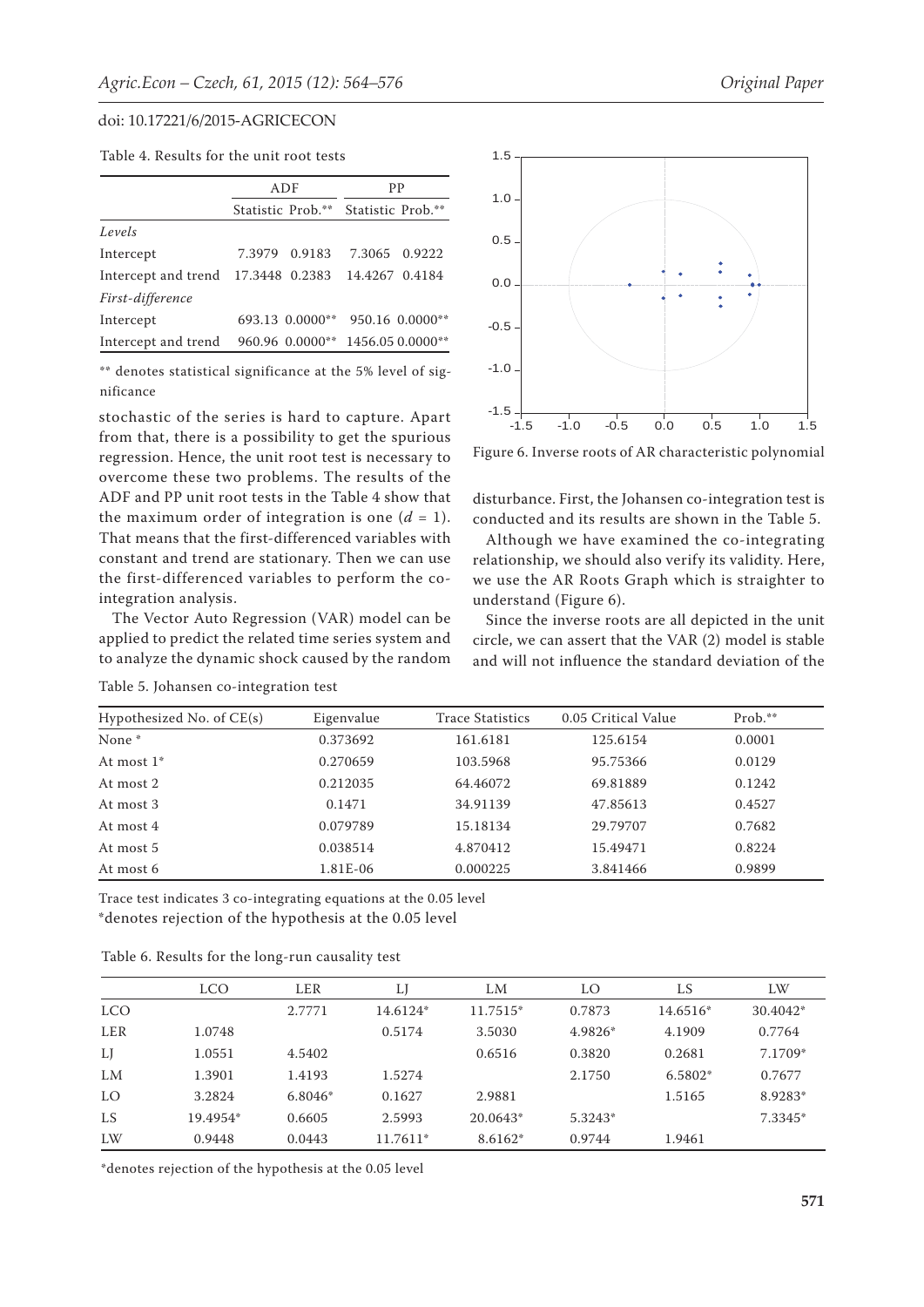Table 4. Results for the unit root tests

|                                      |        | ADF                                 | РP             |                  |  |
|--------------------------------------|--------|-------------------------------------|----------------|------------------|--|
|                                      |        | Statistic Prob.** Statistic Prob.** |                |                  |  |
| Levels                               |        |                                     |                |                  |  |
| Intercept                            | 7.3979 | 0.9183                              | 7.3065 0.9222  |                  |  |
| Intercept and trend $17.3448$ 0.2383 |        |                                     | 14.4267 0.4184 |                  |  |
| <i>First-difference</i>              |        |                                     |                |                  |  |
| Intercept                            |        | 693.13 0.0000**                     |                | 950.16 0.0000**  |  |
| Intercept and trend                  |        | 960.96 0.0000**                     |                | 1456.05 0.0000** |  |

\*\* denotes statistical significance at the 5% level of significance

stochastic of the series is hard to capture. Apart from that, there is a possibility to get the spurious regression. Hence, the unit root test is necessary to overcome these two problems. The results of the ADF and PP unit root tests in the Table 4 show that the maximum order of integration is one  $(d = 1)$ . That means that the first-differenced variables with constant and trend are stationary. Then we can use the first-differenced variables to perform the cointegration analysis.

The Vector Auto Regression (VAR) model can be applied to predict the related time series system and to analyze the dynamic shock caused by the random

Table 5. Johansen co-integration test



Figure 6. Inverse roots of AR characteristic polynomial

disturbance. First, the Johansen co-integration test is conducted and its results are shown in the Table 5.

Although we have examined the co-integrating relationship, we should also verify its validity. Here, we use the AR Roots Graph which is straighter to understand (Figure 6).

Since the inverse roots are all depicted in the unit circle, we can assert that the VAR (2) model is stable and will not influence the standard deviation of the

| Hypothesized No. of CE(s) | Eigenvalue | Trace Statistics | 0.05 Critical Value | $Prob.**$ |  |
|---------------------------|------------|------------------|---------------------|-----------|--|
| None*                     | 0.373692   | 161.6181         | 125.6154            | 0.0001    |  |
| At most 1 <sup>*</sup>    | 0.270659   | 103.5968         | 95.75366            | 0.0129    |  |
| At most 2                 | 0.212035   | 64.46072         | 69.81889            | 0.1242    |  |
| At most 3                 | 0.1471     | 34.91139         | 47.85613            | 0.4527    |  |
| At most 4                 | 0.079789   | 15.18134         | 29.79707            | 0.7682    |  |
| At most 5                 | 0.038514   | 4.870412         | 15.49471            | 0.8224    |  |
| At most 6                 | 1.81E-06   | 0.000225         | 3.841466            | 0.9899    |  |

Trace test indicates 3 co-integrating equations at the 0.05 level \*denotes rejection of the hypothesis at the 0.05 level

|            | <b>LCO</b> | LER       | LJ         | LM       | LΟ        | LS        | LW        |
|------------|------------|-----------|------------|----------|-----------|-----------|-----------|
| <b>LCO</b> |            | 2.7771    | 14.6124*   | 11.7515* | 0.7873    | 14.6516*  | 30.4042*  |
| <b>LER</b> | 1.0748     |           | 0.5174     | 3.5030   | 4.9826*   | 4.1909    | 0.7764    |
| LJ         | 1.0551     | 4.5402    |            | 0.6516   | 0.3820    | 0.2681    | 7.1709*   |
| LM         | 1.3901     | 1.4193    | 1.5274     |          | 2.1750    | $6.5802*$ | 0.7677    |
| LO         | 3.2824     | $6.8046*$ | 0.1627     | 2.9881   |           | 1.5165    | 8.9283*   |
| LS         | 19.4954*   | 0.6605    | 2.5993     | 20.0643* | $5.3243*$ |           | $7.3345*$ |
| LW         | 0.9448     | 0.0443    | $11.7611*$ | 8.6162*  | 0.9744    | 1.9461    |           |

Table 6. Results for the long-run causality test

\*denotes rejection of the hypothesis at the 0.05 level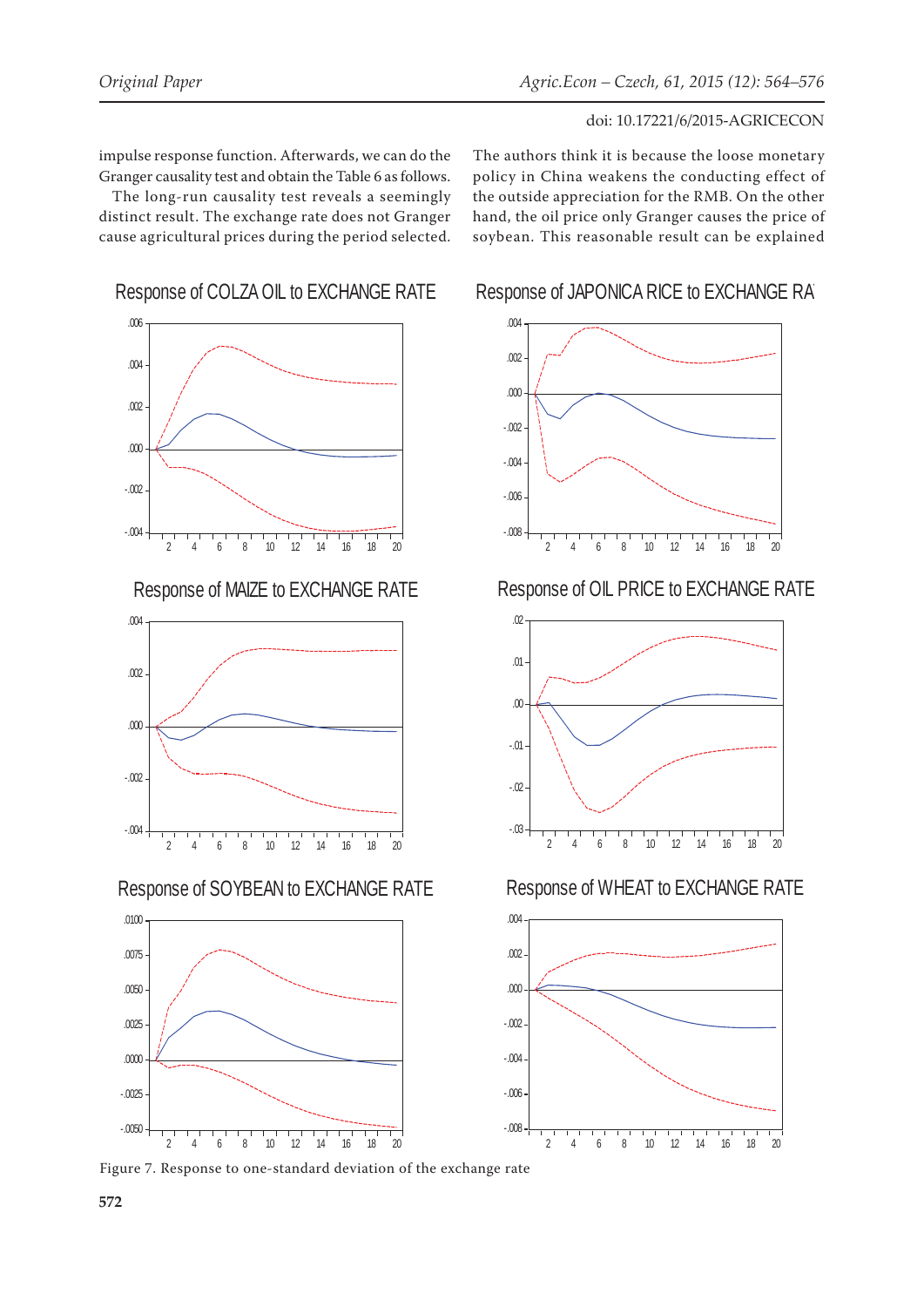impulse response function. Afterwards, we can do the Granger causality test and obtain the Table 6 as follows.

The long-run causality test reveals a seemingly distinct result. The exchange rate does not Granger cause agricultural prices during the period selected.

Response of COLZA OIL to EXCHANGE RATE



## Response of MAIZE to EXCHANGE RATE



Response of SOYBEAN to EXCHANGE RATE



Figure 7. Response to one-standard deviation of the exchange rate

The authors think it is because the loose monetary policy in China weakens the conducting effect of the outside appreciation for the RMB. On the other hand, the oil price only Granger causes the price of soybean. This reasonable result can be explained

## Response of JAPONICA RICE to EXCHANGE RAT



Response of OIL PRICE to EXCHANGE RATE



## Response of WHEAT to EXCHANGE RATE

![](_page_8_Figure_18.jpeg)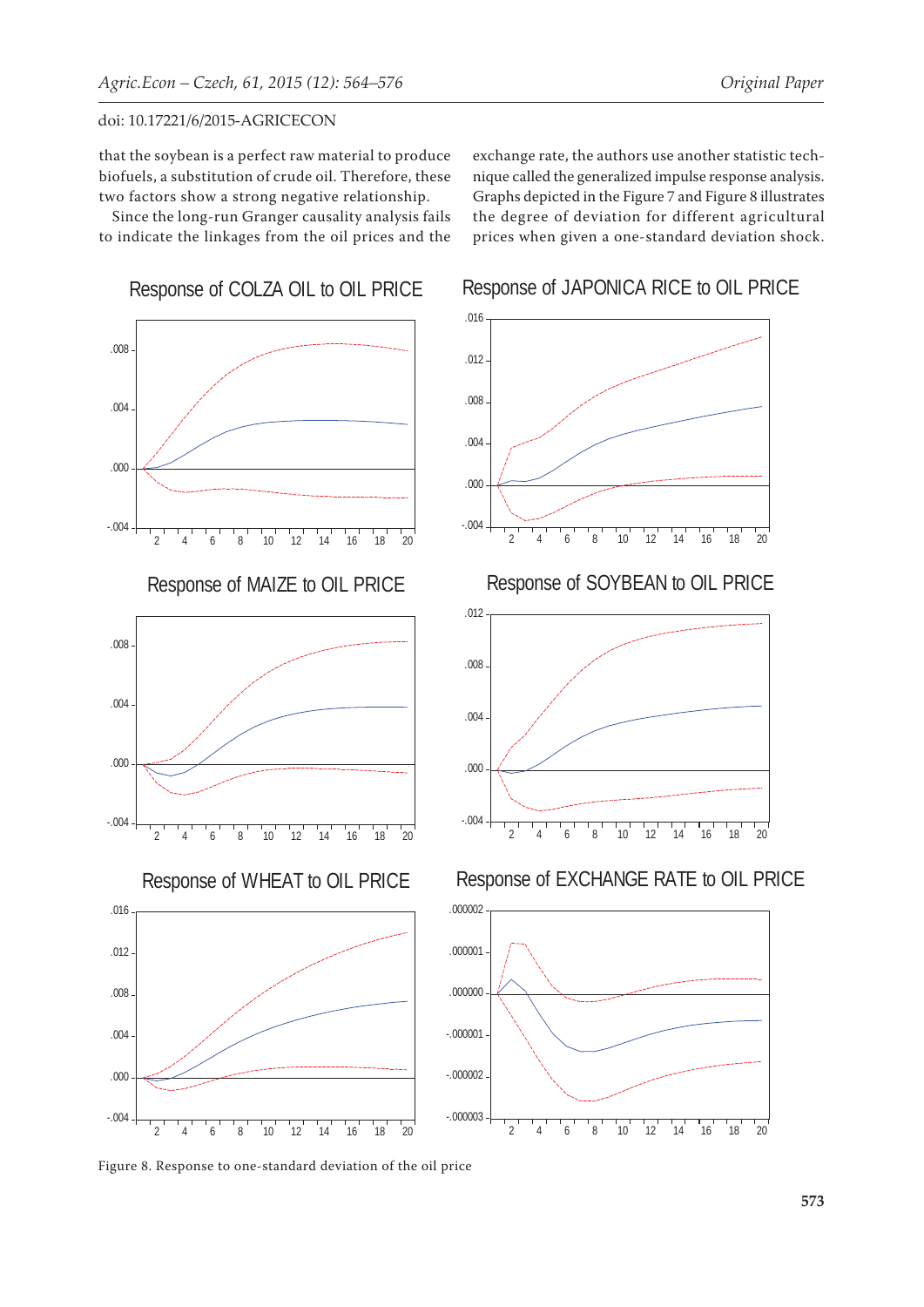that the soybean is a perfect raw material to produce biofuels, a substitution of crude oil. Therefore, these two factors show a strong negative relationship.

Since the long-run Granger causality analysis fails to indicate the linkages from the oil prices and the

Response of COLZA OIL to OIL PRICE

exchange rate, the authors use another statistic technique called the generalized impulse response analysis. Graphs depicted in the Figure 7 and Figure 8 illustrates the degree of deviation for different agricultural prices when given a one-standard deviation shock.

Response of JAPONICA RICE to OIL PRICE

![](_page_9_Figure_7.jpeg)

Figure 8. Response to one-standard deviation of the oil price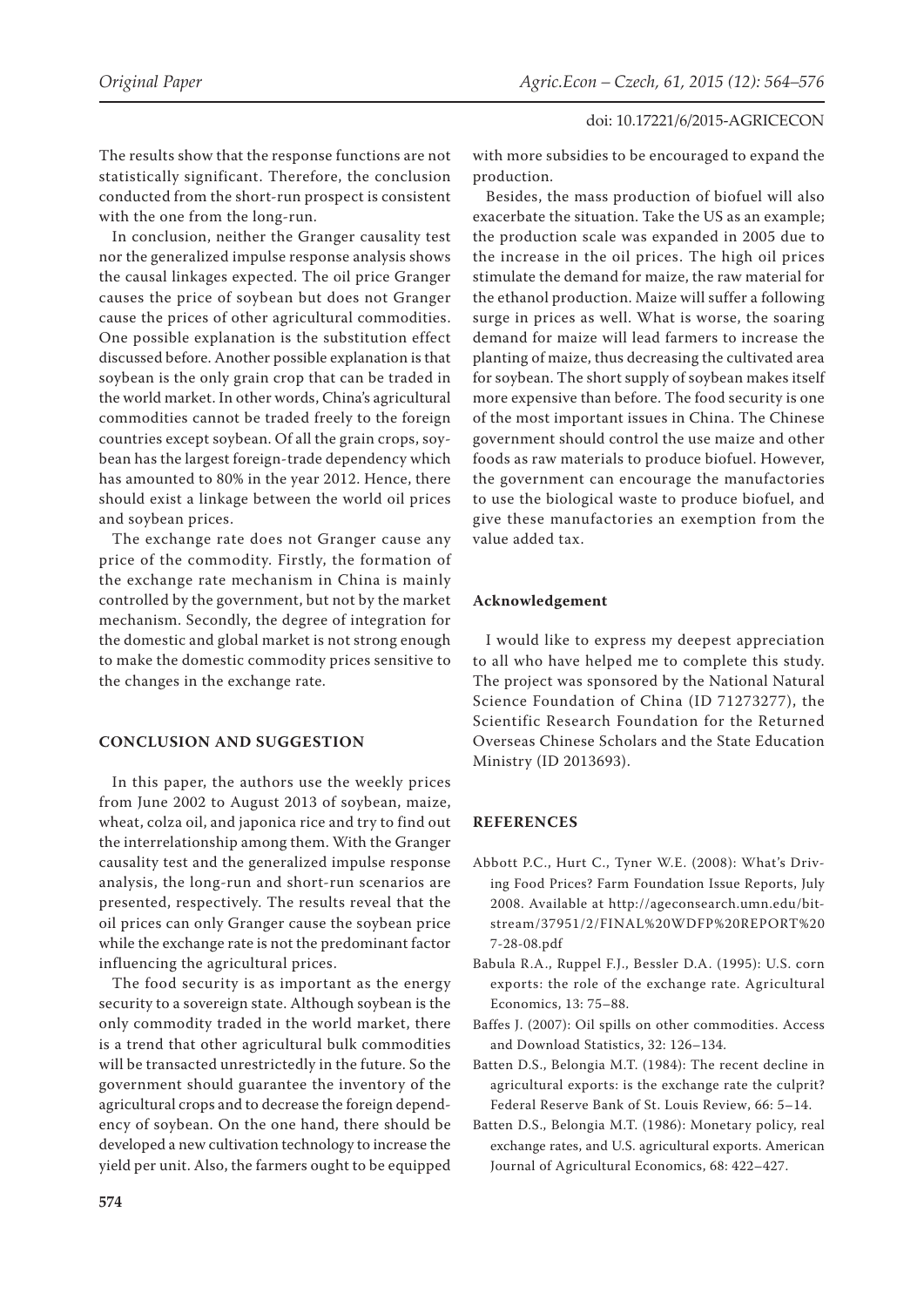The results show that the response functions are not statistically significant. Therefore, the conclusion conducted from the short-run prospect is consistent with the one from the long-run.

In conclusion, neither the Granger causality test nor the generalized impulse response analysis shows the causal linkages expected. The oil price Granger causes the price of soybean but does not Granger cause the prices of other agricultural commodities. One possible explanation is the substitution effect discussed before. Another possible explanation is that soybean is the only grain crop that can be traded in the world market. In other words, China's agricultural commodities cannot be traded freely to the foreign countries except soybean. Of all the grain crops, soybean has the largest foreign-trade dependency which has amounted to 80% in the year 2012. Hence, there should exist a linkage between the world oil prices and soybean prices.

The exchange rate does not Granger cause any price of the commodity. Firstly, the formation of the exchange rate mechanism in China is mainly controlled by the government, but not by the market mechanism. Secondly, the degree of integration for the domestic and global market is not strong enough to make the domestic commodity prices sensitive to the changes in the exchange rate.

## **CONCLUSION AND SUGGESTION**

In this paper, the authors use the weekly prices from June 2002 to August 2013 of soybean, maize, wheat, colza oil, and japonica rice and try to find out the interrelationship among them. With the Granger causality test and the generalized impulse response analysis, the long-run and short-run scenarios are presented, respectively. The results reveal that the oil prices can only Granger cause the soybean price while the exchange rate is not the predominant factor influencing the agricultural prices.

The food security is as important as the energy security to a sovereign state. Although soybean is the only commodity traded in the world market, there is a trend that other agricultural bulk commodities will be transacted unrestrictedly in the future. So the government should guarantee the inventory of the agricultural crops and to decrease the foreign dependency of soybean. On the one hand, there should be developed a new cultivation technology to increase the yield per unit. Also, the farmers ought to be equipped

with more subsidies to be encouraged to expand the production.

Besides, the mass production of biofuel will also exacerbate the situation. Take the US as an example; the production scale was expanded in 2005 due to the increase in the oil prices. The high oil prices stimulate the demand for maize, the raw material for the ethanol production. Maize will suffer a following surge in prices as well. What is worse, the soaring demand for maize will lead farmers to increase the planting of maize, thus decreasing the cultivated area for soybean. The short supply of soybean makes itself more expensive than before. The food security is one of the most important issues in China. The Chinese government should control the use maize and other foods as raw materials to produce biofuel. However, the government can encourage the manufactories to use the biological waste to produce biofuel, and give these manufactories an exemption from the value added tax.

## **Acknowledgement**

I would like to express my deepest appreciation to all who have helped me to complete this study. The project was sponsored by the National Natural Science Foundation of China (ID 71273277), the Scientific Research Foundation for the Returned Overseas Chinese Scholars and the State Education Ministry (ID 2013693).

### **REFERENCES**

- Abbott P.C., Hurt C., Tyner W.E. (2008): What's Driving Food Prices? Farm Foundation Issue Reports, July 2008. Available at http://ageconsearch.umn.edu/bitstream/37951/2/FINAL%20WDFP%20REPORT%20 7-28-08.pdf
- Babula R.A., Ruppel F.J., Bessler D.A. (1995): U.S. corn exports: the role of the exchange rate. Agricultural Economics, 13: 75–88.
- Baffes J. (2007): Oil spills on other commodities. Access and Download Statistics, 32: 126–134.
- Batten D.S., Belongia M.T. (1984): The recent decline in agricultural exports: is the exchange rate the culprit? Federal Reserve Bank of St. Louis Review, 66: 5–14.
- Batten D.S., Belongia M.T. (1986): Monetary policy, real exchange rates, and U.S. agricultural exports. American Journal of Agricultural Economics, 68: 422–427.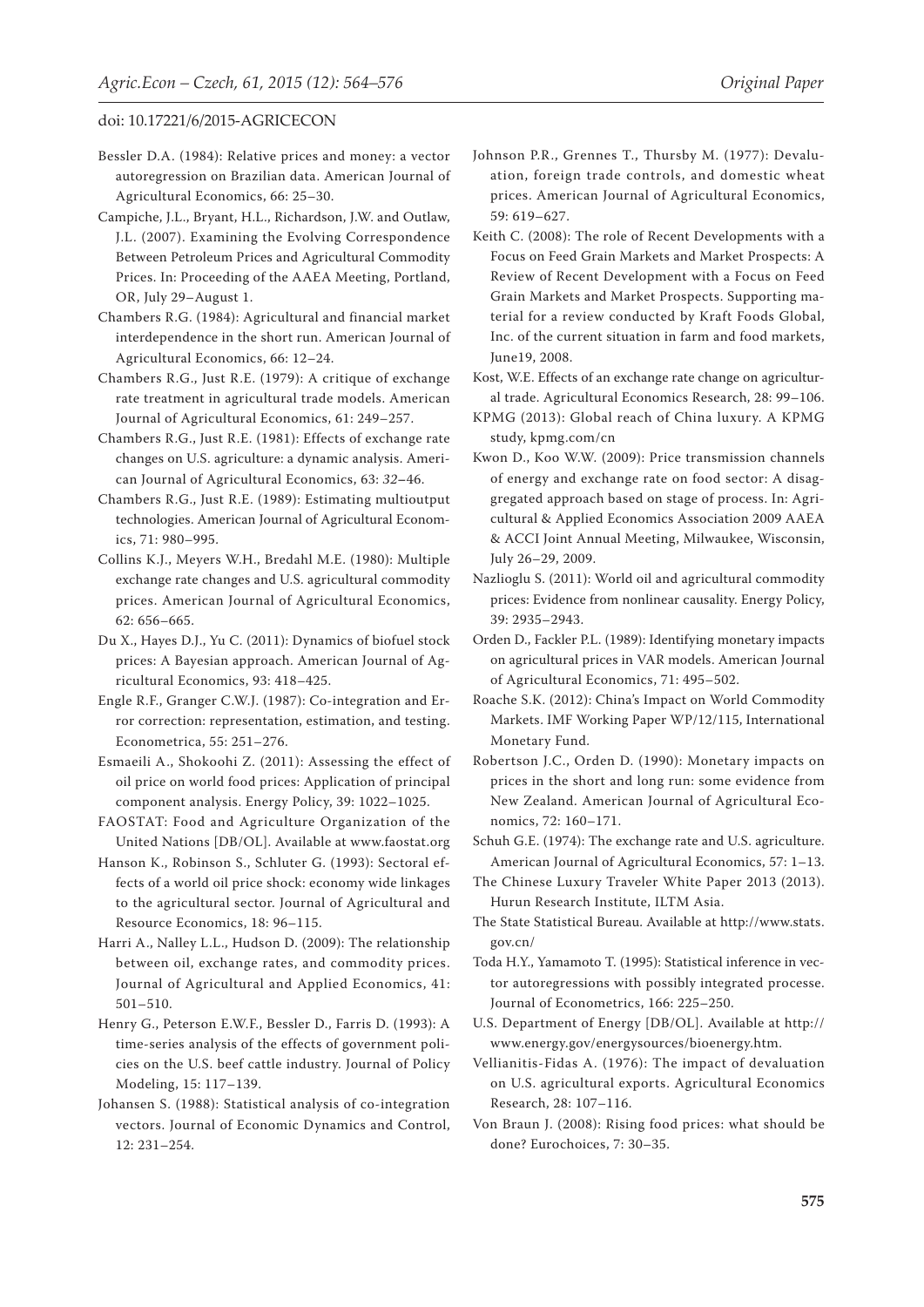- Bessler D.A. (1984): Relative prices and money: a vector autoregression on Brazilian data. American Journal of Agricultural Economics, 66: 25–30.
- Campiche, J.L., Bryant, H.L., Richardson, J.W. and Outlaw, J.L. (2007). Examining the Evolving Correspondence Between Petroleum Prices and Agricultural Commodity Prices. In: Proceeding of the AAEA Meeting, Portland, OR, July 29–August 1.
- Chambers R.G. (1984): Agricultural and financial market interdependence in the short run. American Journal of Agricultural Economics, 66: 12–24.
- Chambers R.G., Just R.E. (1979): A critique of exchange rate treatment in agricultural trade models. American Journal of Agricultural Economics, 61: 249–257.
- Chambers R.G., Just R.E. (1981): Effects of exchange rate changes on U.S. agriculture: a dynamic analysis. American Journal of Agricultural Economics, 63: *32***–**46.
- Chambers R.G., Just R.E. (1989): Estimating multioutput technologies. American Journal of Agricultural Economics, 71: 980–995.
- Collins K.J., Meyers W.H., Bredahl M.E. (1980): Multiple exchange rate changes and U.S. agricultural commodity prices. American Journal of Agricultural Economics, 62: 656–665.
- Du X., Hayes D.J., Yu C. (2011): Dynamics of biofuel stock prices: A Bayesian approach. American Journal of Agricultural Economics, 93: 418–425.
- Engle R.F., Granger C.W.J. (1987): Co-integration and Error correction: representation, estimation, and testing. Econometrica, 55: 251–276.
- Esmaeili A., Shokoohi Z. (2011): Assessing the effect of oil price on world food prices: Application of principal component analysis. Energy Policy, 39: 1022–1025.
- FAOSTAT: Food and Agriculture Organization of the United Nations [DB/OL]. Available at www.faostat.org
- Hanson K., Robinson S., Schluter G. (1993): Sectoral effects of a world oil price shock: economy wide linkages to the agricultural sector. Journal of Agricultural and Resource Economics, 18: 96–115.
- Harri A., Nalley L.L., Hudson D. (2009): The relationship between oil, exchange rates, and commodity prices. Journal of Agricultural and Applied Economics, 41: 501–510.
- Henry G., Peterson E.W.F., Bessler D., Farris D. (1993): A time-series analysis of the effects of government policies on the U.S. beef cattle industry. Journal of Policy Modeling, 15: 117–139.
- Johansen S. (1988): Statistical analysis of co-integration vectors. Journal of Economic Dynamics and Control, 12: 231–254.
- Johnson P.R., Grennes T., Thursby M. (1977): Devaluation, foreign trade controls, and domestic wheat prices. American Journal of Agricultural Economics, 59: 619–627.
- Keith C. (2008): The role of Recent Developments with a Focus on Feed Grain Markets and Market Prospects: A Review of Recent Development with a Focus on Feed Grain Markets and Market Prospects. Supporting material for a review conducted by Kraft Foods Global, Inc. of the current situation in farm and food markets, June19, 2008.
- Kost, W.E. Effects of an exchange rate change on agricultural trade. Agricultural Economics Research, 28: 99–106.
- KPMG (2013): Global reach of China luxury. A KPMG study, kpmg.com/cn
- Kwon D., Koo W.W. (2009): Price transmission channels of energy and exchange rate on food sector: A disaggregated approach based on stage of process. In: Agricultural & Applied Economics Association 2009 AAEA & ACCI Joint Annual Meeting, Milwaukee, Wisconsin, July 26–29, 2009.
- Nazlioglu S. (2011): World oil and agricultural commodity prices: Evidence from nonlinear causality. Energy Policy, 39: 2935–2943.
- Orden D., Fackler P.L. (1989): Identifying monetary impacts on agricultural prices in VAR models. American Journal of Agricultural Economics, 71: 495–502.
- Roache S.K. (2012): China's Impact on World Commodity Markets. IMF Working Paper WP/12/115, International Monetary Fund.
- Robertson J.C., Orden D. (1990): Monetary impacts on prices in the short and long run: some evidence from New Zealand. American Journal of Agricultural Economics, 72: 160–171.
- Schuh G.E. (1974): The exchange rate and U.S. agriculture. American Journal of Agricultural Economics, 57: 1–13.
- The Chinese Luxury Traveler White Paper 2013 (2013). Hurun Research Institute, ILTM Asia.
- The State Statistical Bureau. Available at http://www.stats. gov.cn/
- Toda H.Y., Yamamoto T. (1995): Statistical inference in vector autoregressions with possibly integrated processe. Journal of Econometrics, 166: 225–250.
- U.S. Department of Energy [DB/OL]. Available at http:// www.energy.gov/energysources/bioenergy.htm.
- Vellianitis-Fidas A. (1976): The impact of devaluation on U.S. agricultural exports. Agricultural Economics Research, 28: 107–116.
- Von Braun J. (2008): Rising food prices: what should be done? Eurochoices, 7: 30–35.